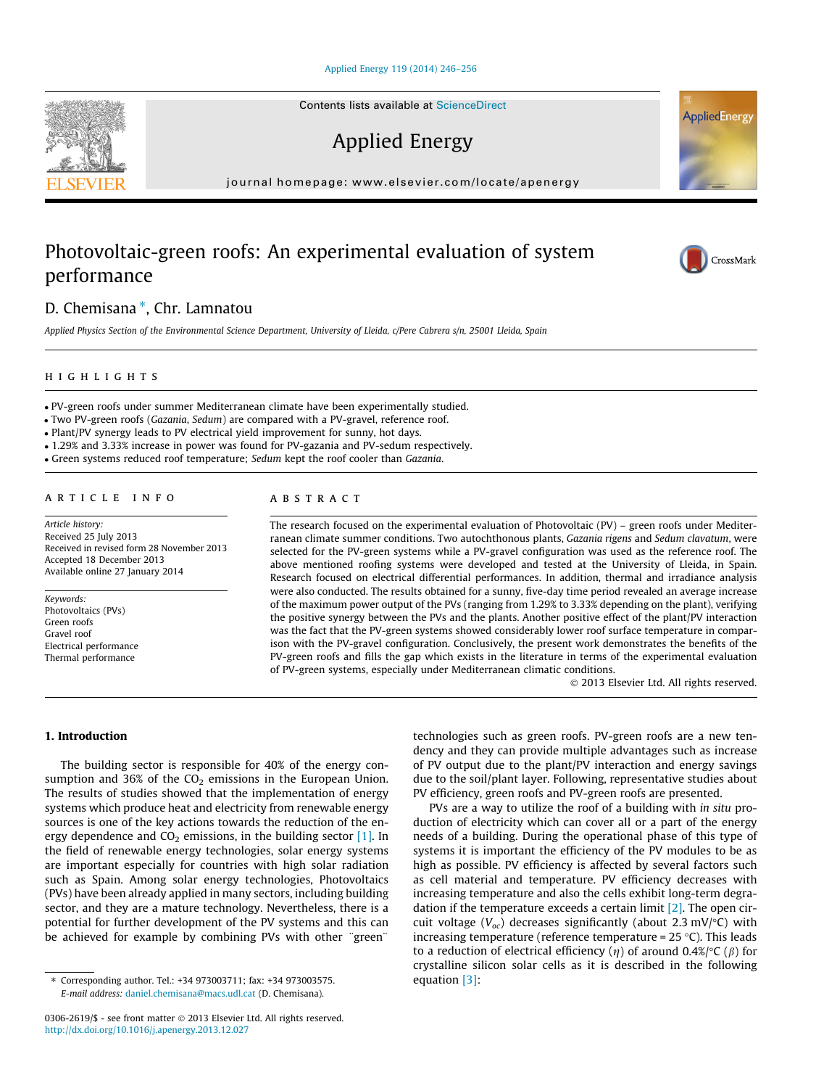[Applied Energy 119 \(2014\) 246–256](http://dx.doi.org/10.1016/j.apenergy.2013.12.027)

Contents lists available at [ScienceDirect](http://www.sciencedirect.com/science/journal/03062619)

Applied Energy

journal homepage: [www.elsevier.com/locate/apenergy](http://www.elsevier.com/locate/apenergy)

## Photovoltaic-green roofs: An experimental evaluation of system performance

## D. Chemisana \*, Chr. Lamnatou

Applied Physics Section of the Environmental Science Department, University of Lleida, c/Pere Cabrera s/n, 25001 Lleida, Spain

## highlights

- PV-green roofs under summer Mediterranean climate have been experimentally studied.

- Two PV-green roofs (Gazania, Sedum) are compared with a PV-gravel, reference roof.
- Plant/PV synergy leads to PV electrical yield improvement for sunny, hot days.
- 1.29% and 3.33% increase in power was found for PV-gazania and PV-sedum respectively.
- Green systems reduced roof temperature; Sedum kept the roof cooler than Gazania.

### article info

Article history: Received 25 July 2013 Received in revised form 28 November 2013 Accepted 18 December 2013 Available online 27 January 2014

Keywords: Photovoltaics (PVs) Green roofs Gravel roof Electrical performance Thermal performance

## **ABSTRACT**

The research focused on the experimental evaluation of Photovoltaic (PV) – green roofs under Mediterranean climate summer conditions. Two autochthonous plants, Gazania rigens and Sedum clavatum, were selected for the PV-green systems while a PV-gravel configuration was used as the reference roof. The above mentioned roofing systems were developed and tested at the University of Lleida, in Spain. Research focused on electrical differential performances. In addition, thermal and irradiance analysis were also conducted. The results obtained for a sunny, five-day time period revealed an average increase of the maximum power output of the PVs (ranging from 1.29% to 3.33% depending on the plant), verifying the positive synergy between the PVs and the plants. Another positive effect of the plant/PV interaction was the fact that the PV-green systems showed considerably lower roof surface temperature in comparison with the PV-gravel configuration. Conclusively, the present work demonstrates the benefits of the PV-green roofs and fills the gap which exists in the literature in terms of the experimental evaluation of PV-green systems, especially under Mediterranean climatic conditions.

- 2013 Elsevier Ltd. All rights reserved.

#### 1. Introduction

The building sector is responsible for 40% of the energy consumption and 36% of the  $CO<sub>2</sub>$  emissions in the European Union. The results of studies showed that the implementation of energy systems which produce heat and electricity from renewable energy sources is one of the key actions towards the reduction of the energy dependence and  $CO<sub>2</sub>$  emissions, in the building sector [\[1\].](#page--1-0) In the field of renewable energy technologies, solar energy systems are important especially for countries with high solar radiation such as Spain. Among solar energy technologies, Photovoltaics (PVs) have been already applied in many sectors, including building sector, and they are a mature technology. Nevertheless, there is a potential for further development of the PV systems and this can be achieved for example by combining PVs with other ¨green¨

technologies such as green roofs. PV-green roofs are a new tendency and they can provide multiple advantages such as increase of PV output due to the plant/PV interaction and energy savings due to the soil/plant layer. Following, representative studies about PV efficiency, green roofs and PV-green roofs are presented.

PVs are a way to utilize the roof of a building with in situ production of electricity which can cover all or a part of the energy needs of a building. During the operational phase of this type of systems it is important the efficiency of the PV modules to be as high as possible. PV efficiency is affected by several factors such as cell material and temperature. PV efficiency decreases with increasing temperature and also the cells exhibit long-term degradation if the temperature exceeds a certain limit [\[2\]](#page--1-0). The open circuit voltage ( $V_{oc}$ ) decreases significantly (about 2.3 mV/ $\degree$ C) with increasing temperature (reference temperature =  $25 \text{ }^{\circ}$ C). This leads to a reduction of electrical efficiency  $(\eta)$  of around 0.4%/ $\degree$ C  $(\beta)$  for crystalline silicon solar cells as it is described in the following equation [\[3\]](#page--1-0):







<sup>⇑</sup> Corresponding author. Tel.: +34 973003711; fax: +34 973003575. E-mail address: [daniel.chemisana@macs.udl.cat](mailto:daniel.chemisana@macs.udl.cat) (D. Chemisana).

<sup>0306-2619/\$ -</sup> see front matter © 2013 Elsevier Ltd. All rights reserved. <http://dx.doi.org/10.1016/j.apenergy.2013.12.027>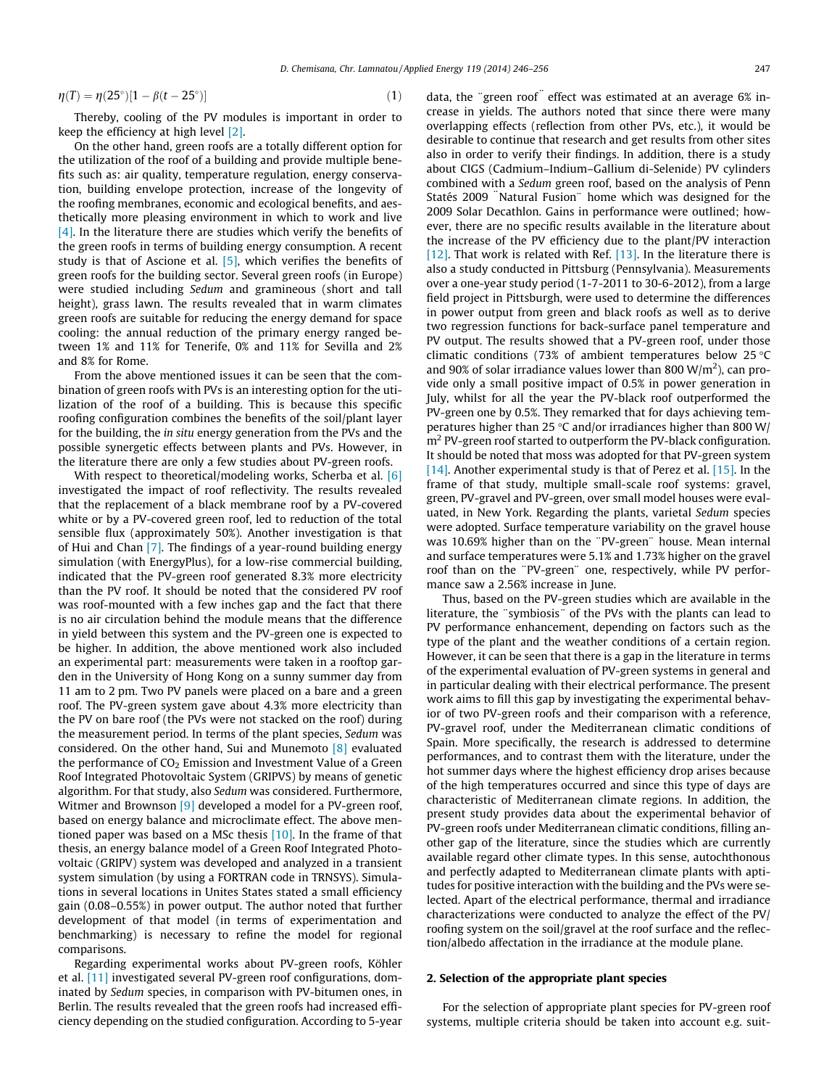$$
\eta(T) = \eta(25^\circ)[1 - \beta(t - 25^\circ)]\tag{1}
$$

Thereby, cooling of the PV modules is important in order to keep the efficiency at high level  $[2]$ .

On the other hand, green roofs are a totally different option for the utilization of the roof of a building and provide multiple benefits such as: air quality, temperature regulation, energy conservation, building envelope protection, increase of the longevity of the roofing membranes, economic and ecological benefits, and aesthetically more pleasing environment in which to work and live [\[4\]](#page--1-0). In the literature there are studies which verify the benefits of the green roofs in terms of building energy consumption. A recent study is that of Ascione et al. [\[5\]](#page--1-0), which verifies the benefits of green roofs for the building sector. Several green roofs (in Europe) were studied including Sedum and gramineous (short and tall height), grass lawn. The results revealed that in warm climates green roofs are suitable for reducing the energy demand for space cooling: the annual reduction of the primary energy ranged between 1% and 11% for Tenerife, 0% and 11% for Sevilla and 2% and 8% for Rome.

From the above mentioned issues it can be seen that the combination of green roofs with PVs is an interesting option for the utilization of the roof of a building. This is because this specific roofing configuration combines the benefits of the soil/plant layer for the building, the in situ energy generation from the PVs and the possible synergetic effects between plants and PVs. However, in the literature there are only a few studies about PV-green roofs.

With respect to theoretical/modeling works, Scherba et al. [\[6\]](#page--1-0) investigated the impact of roof reflectivity. The results revealed that the replacement of a black membrane roof by a PV-covered white or by a PV-covered green roof, led to reduction of the total sensible flux (approximately 50%). Another investigation is that of Hui and Chan [\[7\].](#page--1-0) The findings of a year-round building energy simulation (with EnergyPlus), for a low-rise commercial building, indicated that the PV-green roof generated 8.3% more electricity than the PV roof. It should be noted that the considered PV roof was roof-mounted with a few inches gap and the fact that there is no air circulation behind the module means that the difference in yield between this system and the PV-green one is expected to be higher. In addition, the above mentioned work also included an experimental part: measurements were taken in a rooftop garden in the University of Hong Kong on a sunny summer day from 11 am to 2 pm. Two PV panels were placed on a bare and a green roof. The PV-green system gave about 4.3% more electricity than the PV on bare roof (the PVs were not stacked on the roof) during the measurement period. In terms of the plant species, Sedum was considered. On the other hand, Sui and Munemoto [\[8\]](#page--1-0) evaluated the performance of  $CO<sub>2</sub>$  Emission and Investment Value of a Green Roof Integrated Photovoltaic System (GRIPVS) by means of genetic algorithm. For that study, also Sedum was considered. Furthermore, Witmer and Brownson [\[9\]](#page--1-0) developed a model for a PV-green roof, based on energy balance and microclimate effect. The above mentioned paper was based on a MSc thesis [\[10\].](#page--1-0) In the frame of that thesis, an energy balance model of a Green Roof Integrated Photovoltaic (GRIPV) system was developed and analyzed in a transient system simulation (by using a FORTRAN code in TRNSYS). Simulations in several locations in Unites States stated a small efficiency gain (0.08–0.55%) in power output. The author noted that further development of that model (in terms of experimentation and benchmarking) is necessary to refine the model for regional comparisons.

Regarding experimental works about PV-green roofs, Köhler et al. [\[11\]](#page--1-0) investigated several PV-green roof configurations, dominated by Sedum species, in comparison with PV-bitumen ones, in Berlin. The results revealed that the green roofs had increased efficiency depending on the studied configuration. According to 5-year

data, the ¨green roof ¨ effect was estimated at an average 6% increase in yields. The authors noted that since there were many overlapping effects (reflection from other PVs, etc.), it would be desirable to continue that research and get results from other sites also in order to verify their findings. In addition, there is a study about CIGS (Cadmium–Indium–Gallium di-Selenide) PV cylinders combined with a Sedum green roof, based on the analysis of Penn Statés 2009 <sup>"</sup>Natural Fusion" home which was designed for the 2009 Solar Decathlon. Gains in performance were outlined; however, there are no specific results available in the literature about the increase of the PV efficiency due to the plant/PV interaction [\[12\]](#page--1-0). That work is related with Ref. [\[13\].](#page--1-0) In the literature there is also a study conducted in Pittsburg (Pennsylvania). Measurements over a one-year study period (1-7-2011 to 30-6-2012), from a large field project in Pittsburgh, were used to determine the differences in power output from green and black roofs as well as to derive two regression functions for back-surface panel temperature and PV output. The results showed that a PV-green roof, under those climatic conditions (73% of ambient temperatures below 25 $\degree$ C and 90% of solar irradiance values lower than 800  $W/m<sup>2</sup>$ ), can provide only a small positive impact of 0.5% in power generation in July, whilst for all the year the PV-black roof outperformed the PV-green one by 0.5%. They remarked that for days achieving temperatures higher than 25  $\degree$ C and/or irradiances higher than 800 W/  $m<sup>2</sup>$  PV-green roof started to outperform the PV-black configuration. It should be noted that moss was adopted for that PV-green system [\[14\]](#page--1-0). Another experimental study is that of Perez et al. [\[15\].](#page--1-0) In the frame of that study, multiple small-scale roof systems: gravel, green, PV-gravel and PV-green, over small model houses were evaluated, in New York. Regarding the plants, varietal Sedum species were adopted. Surface temperature variability on the gravel house was 10.69% higher than on the ¨PV-green¨ house. Mean internal and surface temperatures were 5.1% and 1.73% higher on the gravel roof than on the ¨PV-green¨ one, respectively, while PV performance saw a 2.56% increase in June.

Thus, based on the PV-green studies which are available in the literature, the "symbiosis" of the PVs with the plants can lead to PV performance enhancement, depending on factors such as the type of the plant and the weather conditions of a certain region. However, it can be seen that there is a gap in the literature in terms of the experimental evaluation of PV-green systems in general and in particular dealing with their electrical performance. The present work aims to fill this gap by investigating the experimental behavior of two PV-green roofs and their comparison with a reference, PV-gravel roof, under the Mediterranean climatic conditions of Spain. More specifically, the research is addressed to determine performances, and to contrast them with the literature, under the hot summer days where the highest efficiency drop arises because of the high temperatures occurred and since this type of days are characteristic of Mediterranean climate regions. In addition, the present study provides data about the experimental behavior of PV-green roofs under Mediterranean climatic conditions, filling another gap of the literature, since the studies which are currently available regard other climate types. In this sense, autochthonous and perfectly adapted to Mediterranean climate plants with aptitudes for positive interaction with the building and the PVs were selected. Apart of the electrical performance, thermal and irradiance characterizations were conducted to analyze the effect of the PV/ roofing system on the soil/gravel at the roof surface and the reflection/albedo affectation in the irradiance at the module plane.

#### 2. Selection of the appropriate plant species

For the selection of appropriate plant species for PV-green roof systems, multiple criteria should be taken into account e.g. suit-